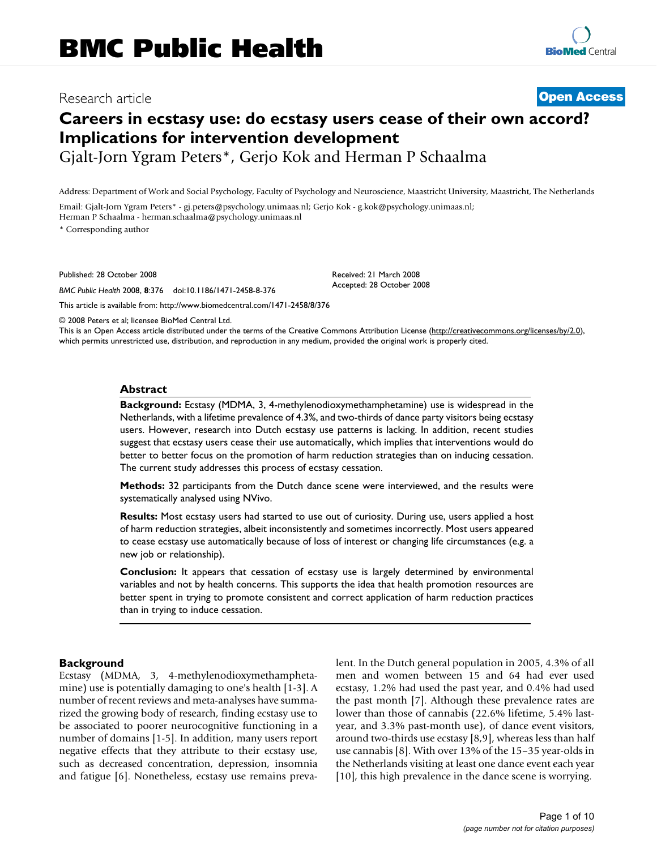# Research article **[Open Access](http://www.biomedcentral.com/info/about/charter/)**

# **Careers in ecstasy use: do ecstasy users cease of their own accord? Implications for intervention development** Gjalt-Jorn Ygram Peters\*, Gerjo Kok and Herman P Schaalma

Address: Department of Work and Social Psychology, Faculty of Psychology and Neuroscience, Maastricht University, Maastricht, The Netherlands

Email: Gjalt-Jorn Ygram Peters\* - gj.peters@psychology.unimaas.nl; Gerjo Kok - g.kok@psychology.unimaas.nl; Herman P Schaalma - herman.schaalma@psychology.unimaas.nl

\* Corresponding author

Published: 28 October 2008

*BMC Public Health* 2008, **8**:376 doi:10.1186/1471-2458-8-376

[This article is available from: http://www.biomedcentral.com/1471-2458/8/376](http://www.biomedcentral.com/1471-2458/8/376)

© 2008 Peters et al; licensee BioMed Central Ltd.

This is an Open Access article distributed under the terms of the Creative Commons Attribution License [\(http://creativecommons.org/licenses/by/2.0\)](http://creativecommons.org/licenses/by/2.0), which permits unrestricted use, distribution, and reproduction in any medium, provided the original work is properly cited.

Received: 21 March 2008 Accepted: 28 October 2008

#### **Abstract**

**Background:** Ecstasy (MDMA, 3, 4-methylenodioxymethamphetamine) use is widespread in the Netherlands, with a lifetime prevalence of 4.3%, and two-thirds of dance party visitors being ecstasy users. However, research into Dutch ecstasy use patterns is lacking. In addition, recent studies suggest that ecstasy users cease their use automatically, which implies that interventions would do better to better focus on the promotion of harm reduction strategies than on inducing cessation. The current study addresses this process of ecstasy cessation.

**Methods:** 32 participants from the Dutch dance scene were interviewed, and the results were systematically analysed using NVivo.

**Results:** Most ecstasy users had started to use out of curiosity. During use, users applied a host of harm reduction strategies, albeit inconsistently and sometimes incorrectly. Most users appeared to cease ecstasy use automatically because of loss of interest or changing life circumstances (e.g. a new job or relationship).

**Conclusion:** It appears that cessation of ecstasy use is largely determined by environmental variables and not by health concerns. This supports the idea that health promotion resources are better spent in trying to promote consistent and correct application of harm reduction practices than in trying to induce cessation.

#### **Background**

Ecstasy (MDMA, 3, 4-methylenodioxymethamphetamine) use is potentially damaging to one's health [1-3]. A number of recent reviews and meta-analyses have summarized the growing body of research, finding ecstasy use to be associated to poorer neurocognitive functioning in a number of domains [1-5]. In addition, many users report negative effects that they attribute to their ecstasy use, such as decreased concentration, depression, insomnia and fatigue [6]. Nonetheless, ecstasy use remains prevalent. In the Dutch general population in 2005, 4.3% of all men and women between 15 and 64 had ever used ecstasy, 1.2% had used the past year, and 0.4% had used the past month [7]. Although these prevalence rates are lower than those of cannabis (22.6% lifetime, 5.4% lastyear, and 3.3% past-month use), of dance event visitors, around two-thirds use ecstasy [8,9], whereas less than half use cannabis [8]. With over 13% of the 15–35 year-olds in the Netherlands visiting at least one dance event each year [10], this high prevalence in the dance scene is worrying.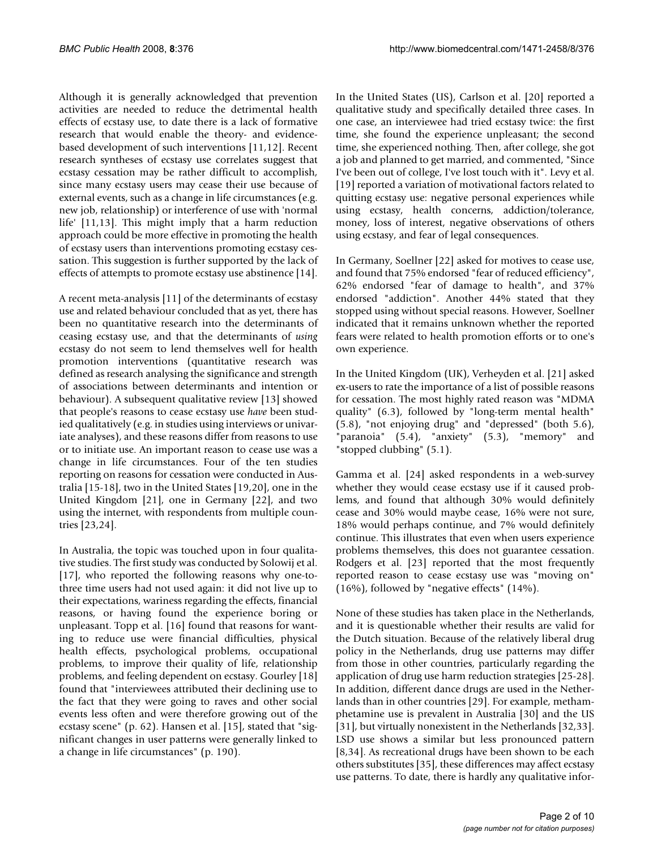Although it is generally acknowledged that prevention activities are needed to reduce the detrimental health effects of ecstasy use, to date there is a lack of formative research that would enable the theory- and evidencebased development of such interventions [11,12]. Recent research syntheses of ecstasy use correlates suggest that ecstasy cessation may be rather difficult to accomplish, since many ecstasy users may cease their use because of external events, such as a change in life circumstances (e.g. new job, relationship) or interference of use with 'normal life' [11,13]. This might imply that a harm reduction approach could be more effective in promoting the health of ecstasy users than interventions promoting ecstasy cessation. This suggestion is further supported by the lack of effects of attempts to promote ecstasy use abstinence [14].

A recent meta-analysis [11] of the determinants of ecstasy use and related behaviour concluded that as yet, there has been no quantitative research into the determinants of ceasing ecstasy use, and that the determinants of *using* ecstasy do not seem to lend themselves well for health promotion interventions (quantitative research was defined as research analysing the significance and strength of associations between determinants and intention or behaviour). A subsequent qualitative review [13] showed that people's reasons to cease ecstasy use *have* been studied qualitatively (e.g. in studies using interviews or univariate analyses), and these reasons differ from reasons to use or to initiate use. An important reason to cease use was a change in life circumstances. Four of the ten studies reporting on reasons for cessation were conducted in Australia [15-18], two in the United States [19,20], one in the United Kingdom [21], one in Germany [22], and two using the internet, with respondents from multiple countries [23,24].

In Australia, the topic was touched upon in four qualitative studies. The first study was conducted by Solowij et al. [17], who reported the following reasons why one-tothree time users had not used again: it did not live up to their expectations, wariness regarding the effects, financial reasons, or having found the experience boring or unpleasant. Topp et al. [16] found that reasons for wanting to reduce use were financial difficulties, physical health effects, psychological problems, occupational problems, to improve their quality of life, relationship problems, and feeling dependent on ecstasy. Gourley [18] found that "interviewees attributed their declining use to the fact that they were going to raves and other social events less often and were therefore growing out of the ecstasy scene" (p. 62). Hansen et al. [15], stated that "significant changes in user patterns were generally linked to a change in life circumstances" (p. 190).

In the United States (US), Carlson et al. [20] reported a qualitative study and specifically detailed three cases. In one case, an interviewee had tried ecstasy twice: the first time, she found the experience unpleasant; the second time, she experienced nothing. Then, after college, she got a job and planned to get married, and commented, "Since I've been out of college, I've lost touch with it". Levy et al. [19] reported a variation of motivational factors related to quitting ecstasy use: negative personal experiences while using ecstasy, health concerns, addiction/tolerance, money, loss of interest, negative observations of others using ecstasy, and fear of legal consequences.

In Germany, Soellner [22] asked for motives to cease use, and found that 75% endorsed "fear of reduced efficiency", 62% endorsed "fear of damage to health", and 37% endorsed "addiction". Another 44% stated that they stopped using without special reasons. However, Soellner indicated that it remains unknown whether the reported fears were related to health promotion efforts or to one's own experience.

In the United Kingdom (UK), Verheyden et al. [21] asked ex-users to rate the importance of a list of possible reasons for cessation. The most highly rated reason was "MDMA quality" (6.3), followed by "long-term mental health" (5.8), "not enjoying drug" and "depressed" (both 5.6), "paranoia" (5.4), "anxiety" (5.3), "memory" and "stopped clubbing" (5.1).

Gamma et al. [24] asked respondents in a web-survey whether they would cease ecstasy use if it caused problems, and found that although 30% would definitely cease and 30% would maybe cease, 16% were not sure, 18% would perhaps continue, and 7% would definitely continue. This illustrates that even when users experience problems themselves, this does not guarantee cessation. Rodgers et al. [23] reported that the most frequently reported reason to cease ecstasy use was "moving on" (16%), followed by "negative effects" (14%).

None of these studies has taken place in the Netherlands, and it is questionable whether their results are valid for the Dutch situation. Because of the relatively liberal drug policy in the Netherlands, drug use patterns may differ from those in other countries, particularly regarding the application of drug use harm reduction strategies [25-28]. In addition, different dance drugs are used in the Netherlands than in other countries [29]. For example, methamphetamine use is prevalent in Australia [30] and the US [31], but virtually nonexistent in the Netherlands [32,33]. LSD use shows a similar but less pronounced pattern [8,34]. As recreational drugs have been shown to be each others substitutes [35], these differences may affect ecstasy use patterns. To date, there is hardly any qualitative infor-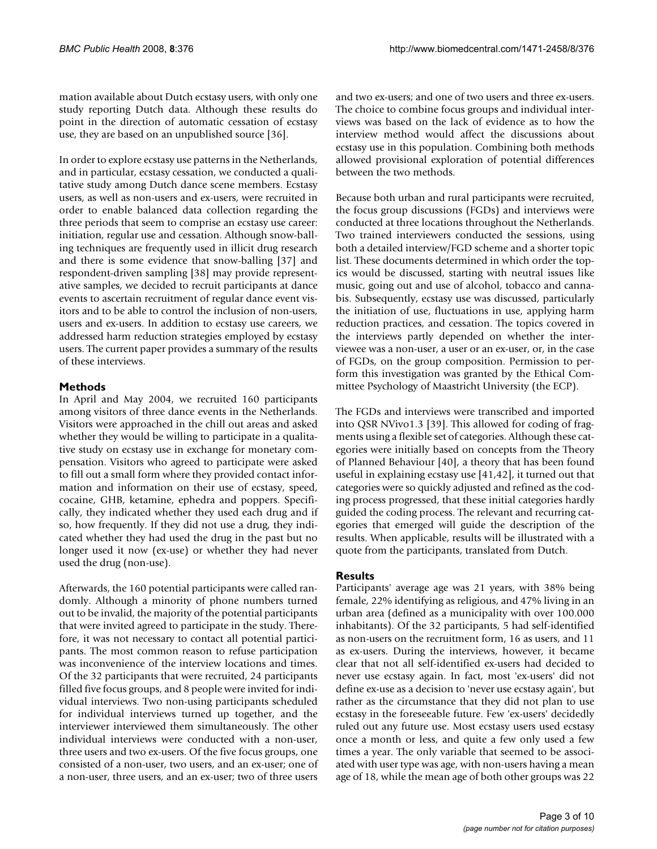mation available about Dutch ecstasy users, with only one study reporting Dutch data. Although these results do point in the direction of automatic cessation of ecstasy use, they are based on an unpublished source [36].

In order to explore ecstasy use patterns in the Netherlands, and in particular, ecstasy cessation, we conducted a qualitative study among Dutch dance scene members. Ecstasy users, as well as non-users and ex-users, were recruited in order to enable balanced data collection regarding the three periods that seem to comprise an ecstasy use career: initiation, regular use and cessation. Although snow-balling techniques are frequently used in illicit drug research and there is some evidence that snow-balling [37] and respondent-driven sampling [38] may provide representative samples, we decided to recruit participants at dance events to ascertain recruitment of regular dance event visitors and to be able to control the inclusion of non-users, users and ex-users. In addition to ecstasy use careers, we addressed harm reduction strategies employed by ecstasy users. The current paper provides a summary of the results of these interviews.

## **Methods**

In April and May 2004, we recruited 160 participants among visitors of three dance events in the Netherlands. Visitors were approached in the chill out areas and asked whether they would be willing to participate in a qualitative study on ecstasy use in exchange for monetary compensation. Visitors who agreed to participate were asked to fill out a small form where they provided contact information and information on their use of ecstasy, speed, cocaine, GHB, ketamine, ephedra and poppers. Specifically, they indicated whether they used each drug and if so, how frequently. If they did not use a drug, they indicated whether they had used the drug in the past but no longer used it now (ex-use) or whether they had never used the drug (non-use).

Afterwards, the 160 potential participants were called randomly. Although a minority of phone numbers turned out to be invalid, the majority of the potential participants that were invited agreed to participate in the study. Therefore, it was not necessary to contact all potential participants. The most common reason to refuse participation was inconvenience of the interview locations and times. Of the 32 participants that were recruited, 24 participants filled five focus groups, and 8 people were invited for individual interviews. Two non-using participants scheduled for individual interviews turned up together, and the interviewer interviewed them simultaneously. The other individual interviews were conducted with a non-user, three users and two ex-users. Of the five focus groups, one consisted of a non-user, two users, and an ex-user; one of a non-user, three users, and an ex-user; two of three users

and two ex-users; and one of two users and three ex-users. The choice to combine focus groups and individual interviews was based on the lack of evidence as to how the interview method would affect the discussions about ecstasy use in this population. Combining both methods allowed provisional exploration of potential differences between the two methods.

Because both urban and rural participants were recruited, the focus group discussions (FGDs) and interviews were conducted at three locations throughout the Netherlands. Two trained interviewers conducted the sessions, using both a detailed interview/FGD scheme and a shorter topic list. These documents determined in which order the topics would be discussed, starting with neutral issues like music, going out and use of alcohol, tobacco and cannabis. Subsequently, ecstasy use was discussed, particularly the initiation of use, fluctuations in use, applying harm reduction practices, and cessation. The topics covered in the interviews partly depended on whether the interviewee was a non-user, a user or an ex-user, or, in the case of FGDs, on the group composition. Permission to perform this investigation was granted by the Ethical Committee Psychology of Maastricht University (the ECP).

The FGDs and interviews were transcribed and imported into QSR NVivo1.3 [39]. This allowed for coding of fragments using a flexible set of categories. Although these categories were initially based on concepts from the Theory of Planned Behaviour [40], a theory that has been found useful in explaining ecstasy use [41,42], it turned out that categories were so quickly adjusted and refined as the coding process progressed, that these initial categories hardly guided the coding process. The relevant and recurring categories that emerged will guide the description of the results. When applicable, results will be illustrated with a quote from the participants, translated from Dutch.

# **Results**

Participants' average age was 21 years, with 38% being female, 22% identifying as religious, and 47% living in an urban area (defined as a municipality with over 100.000 inhabitants). Of the 32 participants, 5 had self-identified as non-users on the recruitment form, 16 as users, and 11 as ex-users. During the interviews, however, it became clear that not all self-identified ex-users had decided to never use ecstasy again. In fact, most 'ex-users' did not define ex-use as a decision to 'never use ecstasy again', but rather as the circumstance that they did not plan to use ecstasy in the foreseeable future. Few 'ex-users' decidedly ruled out any future use. Most ecstasy users used ecstasy once a month or less, and quite a few only used a few times a year. The only variable that seemed to be associated with user type was age, with non-users having a mean age of 18, while the mean age of both other groups was 22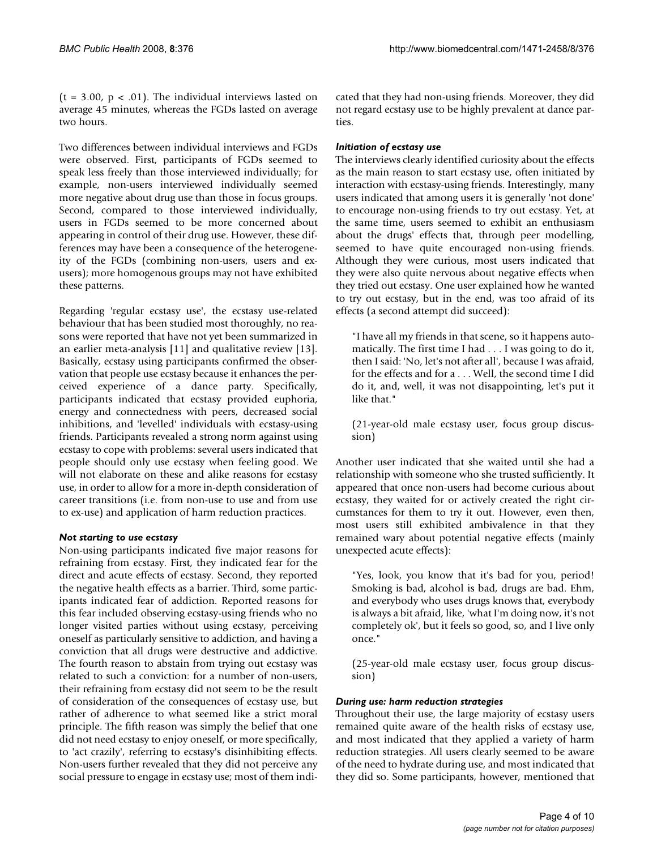$(t = 3.00, p < .01)$ . The individual interviews lasted on average 45 minutes, whereas the FGDs lasted on average two hours.

Two differences between individual interviews and FGDs were observed. First, participants of FGDs seemed to speak less freely than those interviewed individually; for example, non-users interviewed individually seemed more negative about drug use than those in focus groups. Second, compared to those interviewed individually, users in FGDs seemed to be more concerned about appearing in control of their drug use. However, these differences may have been a consequence of the heterogeneity of the FGDs (combining non-users, users and exusers); more homogenous groups may not have exhibited these patterns.

Regarding 'regular ecstasy use', the ecstasy use-related behaviour that has been studied most thoroughly, no reasons were reported that have not yet been summarized in an earlier meta-analysis [11] and qualitative review [13]. Basically, ecstasy using participants confirmed the observation that people use ecstasy because it enhances the perceived experience of a dance party. Specifically, participants indicated that ecstasy provided euphoria, energy and connectedness with peers, decreased social inhibitions, and 'levelled' individuals with ecstasy-using friends. Participants revealed a strong norm against using ecstasy to cope with problems: several users indicated that people should only use ecstasy when feeling good. We will not elaborate on these and alike reasons for ecstasy use, in order to allow for a more in-depth consideration of career transitions (i.e. from non-use to use and from use to ex-use) and application of harm reduction practices.

### *Not starting to use ecstasy*

Non-using participants indicated five major reasons for refraining from ecstasy. First, they indicated fear for the direct and acute effects of ecstasy. Second, they reported the negative health effects as a barrier. Third, some participants indicated fear of addiction. Reported reasons for this fear included observing ecstasy-using friends who no longer visited parties without using ecstasy, perceiving oneself as particularly sensitive to addiction, and having a conviction that all drugs were destructive and addictive. The fourth reason to abstain from trying out ecstasy was related to such a conviction: for a number of non-users, their refraining from ecstasy did not seem to be the result of consideration of the consequences of ecstasy use, but rather of adherence to what seemed like a strict moral principle. The fifth reason was simply the belief that one did not need ecstasy to enjoy oneself, or more specifically, to 'act crazily', referring to ecstasy's disinhibiting effects. Non-users further revealed that they did not perceive any social pressure to engage in ecstasy use; most of them indicated that they had non-using friends. Moreover, they did not regard ecstasy use to be highly prevalent at dance parties.

#### *Initiation of ecstasy use*

The interviews clearly identified curiosity about the effects as the main reason to start ecstasy use, often initiated by interaction with ecstasy-using friends. Interestingly, many users indicated that among users it is generally 'not done' to encourage non-using friends to try out ecstasy. Yet, at the same time, users seemed to exhibit an enthusiasm about the drugs' effects that, through peer modelling, seemed to have quite encouraged non-using friends. Although they were curious, most users indicated that they were also quite nervous about negative effects when they tried out ecstasy. One user explained how he wanted to try out ecstasy, but in the end, was too afraid of its effects (a second attempt did succeed):

"I have all my friends in that scene, so it happens automatically. The first time I had . . . I was going to do it, then I said: 'No, let's not after all', because I was afraid, for the effects and for a . . . Well, the second time I did do it, and, well, it was not disappointing, let's put it like that."

(21-year-old male ecstasy user, focus group discussion)

Another user indicated that she waited until she had a relationship with someone who she trusted sufficiently. It appeared that once non-users had become curious about ecstasy, they waited for or actively created the right circumstances for them to try it out. However, even then, most users still exhibited ambivalence in that they remained wary about potential negative effects (mainly unexpected acute effects):

"Yes, look, you know that it's bad for you, period! Smoking is bad, alcohol is bad, drugs are bad. Ehm, and everybody who uses drugs knows that, everybody is always a bit afraid, like, 'what I'm doing now, it's not completely ok', but it feels so good, so, and I live only once."

(25-year-old male ecstasy user, focus group discussion)

### *During use: harm reduction strategies*

Throughout their use, the large majority of ecstasy users remained quite aware of the health risks of ecstasy use, and most indicated that they applied a variety of harm reduction strategies. All users clearly seemed to be aware of the need to hydrate during use, and most indicated that they did so. Some participants, however, mentioned that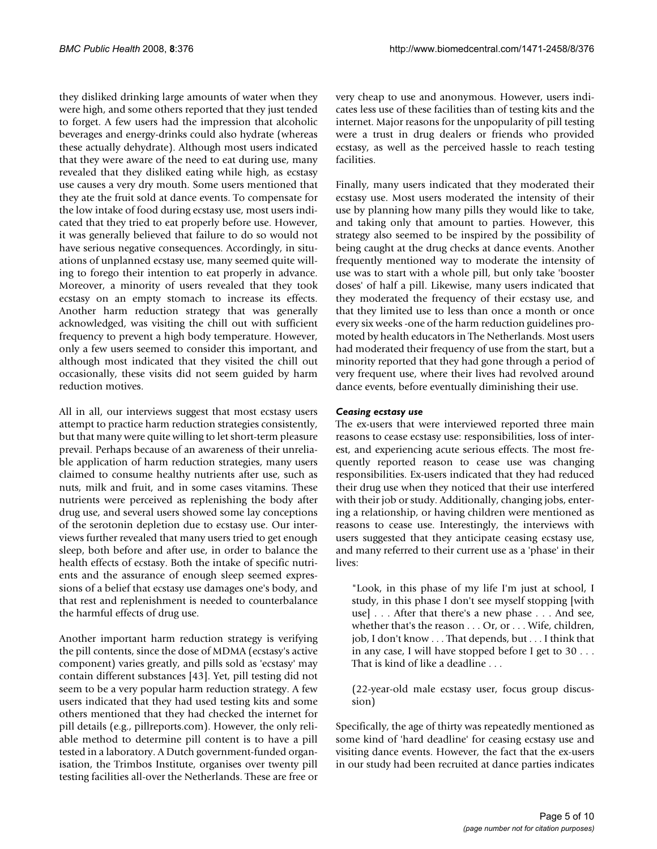they disliked drinking large amounts of water when they were high, and some others reported that they just tended to forget. A few users had the impression that alcoholic beverages and energy-drinks could also hydrate (whereas these actually dehydrate). Although most users indicated that they were aware of the need to eat during use, many revealed that they disliked eating while high, as ecstasy use causes a very dry mouth. Some users mentioned that they ate the fruit sold at dance events. To compensate for the low intake of food during ecstasy use, most users indicated that they tried to eat properly before use. However, it was generally believed that failure to do so would not have serious negative consequences. Accordingly, in situations of unplanned ecstasy use, many seemed quite willing to forego their intention to eat properly in advance. Moreover, a minority of users revealed that they took ecstasy on an empty stomach to increase its effects. Another harm reduction strategy that was generally acknowledged, was visiting the chill out with sufficient frequency to prevent a high body temperature. However, only a few users seemed to consider this important, and although most indicated that they visited the chill out occasionally, these visits did not seem guided by harm reduction motives.

All in all, our interviews suggest that most ecstasy users attempt to practice harm reduction strategies consistently, but that many were quite willing to let short-term pleasure prevail. Perhaps because of an awareness of their unreliable application of harm reduction strategies, many users claimed to consume healthy nutrients after use, such as nuts, milk and fruit, and in some cases vitamins. These nutrients were perceived as replenishing the body after drug use, and several users showed some lay conceptions of the serotonin depletion due to ecstasy use. Our interviews further revealed that many users tried to get enough sleep, both before and after use, in order to balance the health effects of ecstasy. Both the intake of specific nutrients and the assurance of enough sleep seemed expressions of a belief that ecstasy use damages one's body, and that rest and replenishment is needed to counterbalance the harmful effects of drug use.

Another important harm reduction strategy is verifying the pill contents, since the dose of MDMA (ecstasy's active component) varies greatly, and pills sold as 'ecstasy' may contain different substances [43]. Yet, pill testing did not seem to be a very popular harm reduction strategy. A few users indicated that they had used testing kits and some others mentioned that they had checked the internet for pill details (e.g., pillreports.com). However, the only reliable method to determine pill content is to have a pill tested in a laboratory. A Dutch government-funded organisation, the Trimbos Institute, organises over twenty pill testing facilities all-over the Netherlands. These are free or

very cheap to use and anonymous. However, users indicates less use of these facilities than of testing kits and the internet. Major reasons for the unpopularity of pill testing were a trust in drug dealers or friends who provided ecstasy, as well as the perceived hassle to reach testing facilities.

Finally, many users indicated that they moderated their ecstasy use. Most users moderated the intensity of their use by planning how many pills they would like to take, and taking only that amount to parties. However, this strategy also seemed to be inspired by the possibility of being caught at the drug checks at dance events. Another frequently mentioned way to moderate the intensity of use was to start with a whole pill, but only take 'booster doses' of half a pill. Likewise, many users indicated that they moderated the frequency of their ecstasy use, and that they limited use to less than once a month or once every six weeks -one of the harm reduction guidelines promoted by health educators in The Netherlands. Most users had moderated their frequency of use from the start, but a minority reported that they had gone through a period of very frequent use, where their lives had revolved around dance events, before eventually diminishing their use.

### *Ceasing ecstasy use*

The ex-users that were interviewed reported three main reasons to cease ecstasy use: responsibilities, loss of interest, and experiencing acute serious effects. The most frequently reported reason to cease use was changing responsibilities. Ex-users indicated that they had reduced their drug use when they noticed that their use interfered with their job or study. Additionally, changing jobs, entering a relationship, or having children were mentioned as reasons to cease use. Interestingly, the interviews with users suggested that they anticipate ceasing ecstasy use, and many referred to their current use as a 'phase' in their lives:

"Look, in this phase of my life I'm just at school, I study, in this phase I don't see myself stopping [with use] . . . After that there's a new phase . . . And see, whether that's the reason . . . Or, or . . . Wife, children, job, I don't know . . . That depends, but . . . I think that in any case, I will have stopped before I get to 30 . . . That is kind of like a deadline . . .

(22-year-old male ecstasy user, focus group discussion)

Specifically, the age of thirty was repeatedly mentioned as some kind of 'hard deadline' for ceasing ecstasy use and visiting dance events. However, the fact that the ex-users in our study had been recruited at dance parties indicates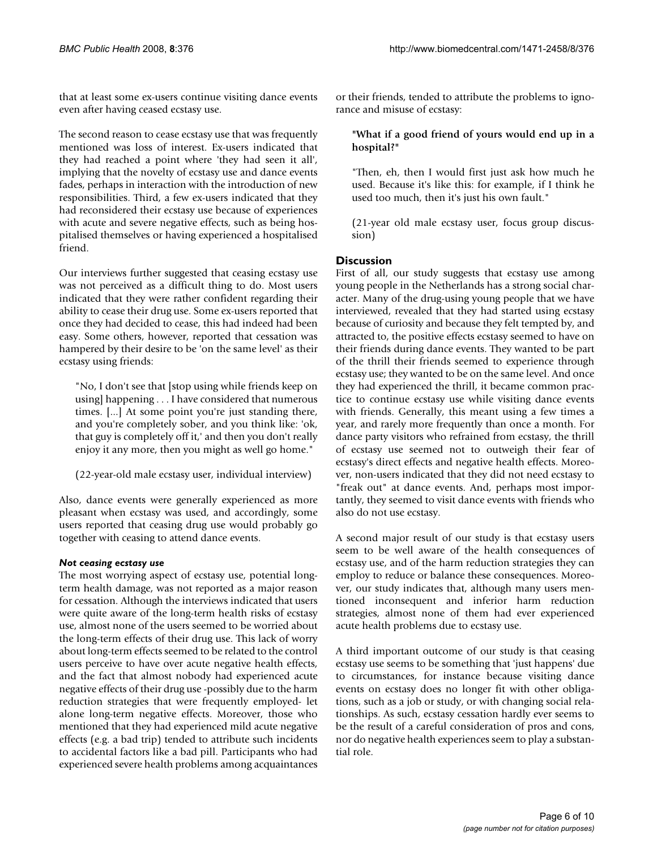that at least some ex-users continue visiting dance events even after having ceased ecstasy use.

The second reason to cease ecstasy use that was frequently mentioned was loss of interest. Ex-users indicated that they had reached a point where 'they had seen it all', implying that the novelty of ecstasy use and dance events fades, perhaps in interaction with the introduction of new responsibilities. Third, a few ex-users indicated that they had reconsidered their ecstasy use because of experiences with acute and severe negative effects, such as being hospitalised themselves or having experienced a hospitalised friend.

Our interviews further suggested that ceasing ecstasy use was not perceived as a difficult thing to do. Most users indicated that they were rather confident regarding their ability to cease their drug use. Some ex-users reported that once they had decided to cease, this had indeed had been easy. Some others, however, reported that cessation was hampered by their desire to be 'on the same level' as their ecstasy using friends:

"No, I don't see that [stop using while friends keep on using] happening . . . I have considered that numerous times. [...] At some point you're just standing there, and you're completely sober, and you think like: 'ok, that guy is completely off it,' and then you don't really enjoy it any more, then you might as well go home."

(22-year-old male ecstasy user, individual interview)

Also, dance events were generally experienced as more pleasant when ecstasy was used, and accordingly, some users reported that ceasing drug use would probably go together with ceasing to attend dance events.

### *Not ceasing ecstasy use*

The most worrying aspect of ecstasy use, potential longterm health damage, was not reported as a major reason for cessation. Although the interviews indicated that users were quite aware of the long-term health risks of ecstasy use, almost none of the users seemed to be worried about the long-term effects of their drug use. This lack of worry about long-term effects seemed to be related to the control users perceive to have over acute negative health effects, and the fact that almost nobody had experienced acute negative effects of their drug use -possibly due to the harm reduction strategies that were frequently employed- let alone long-term negative effects. Moreover, those who mentioned that they had experienced mild acute negative effects (e.g. a bad trip) tended to attribute such incidents to accidental factors like a bad pill. Participants who had experienced severe health problems among acquaintances or their friends, tended to attribute the problems to ignorance and misuse of ecstasy:

**"What if a good friend of yours would end up in a hospital?"**

"Then, eh, then I would first just ask how much he used. Because it's like this: for example, if I think he used too much, then it's just his own fault."

(21-year old male ecstasy user, focus group discussion)

### **Discussion**

First of all, our study suggests that ecstasy use among young people in the Netherlands has a strong social character. Many of the drug-using young people that we have interviewed, revealed that they had started using ecstasy because of curiosity and because they felt tempted by, and attracted to, the positive effects ecstasy seemed to have on their friends during dance events. They wanted to be part of the thrill their friends seemed to experience through ecstasy use; they wanted to be on the same level. And once they had experienced the thrill, it became common practice to continue ecstasy use while visiting dance events with friends. Generally, this meant using a few times a year, and rarely more frequently than once a month. For dance party visitors who refrained from ecstasy, the thrill of ecstasy use seemed not to outweigh their fear of ecstasy's direct effects and negative health effects. Moreover, non-users indicated that they did not need ecstasy to "freak out" at dance events. And, perhaps most importantly, they seemed to visit dance events with friends who also do not use ecstasy.

A second major result of our study is that ecstasy users seem to be well aware of the health consequences of ecstasy use, and of the harm reduction strategies they can employ to reduce or balance these consequences. Moreover, our study indicates that, although many users mentioned inconsequent and inferior harm reduction strategies, almost none of them had ever experienced acute health problems due to ecstasy use.

A third important outcome of our study is that ceasing ecstasy use seems to be something that 'just happens' due to circumstances, for instance because visiting dance events on ecstasy does no longer fit with other obligations, such as a job or study, or with changing social relationships. As such, ecstasy cessation hardly ever seems to be the result of a careful consideration of pros and cons, nor do negative health experiences seem to play a substantial role.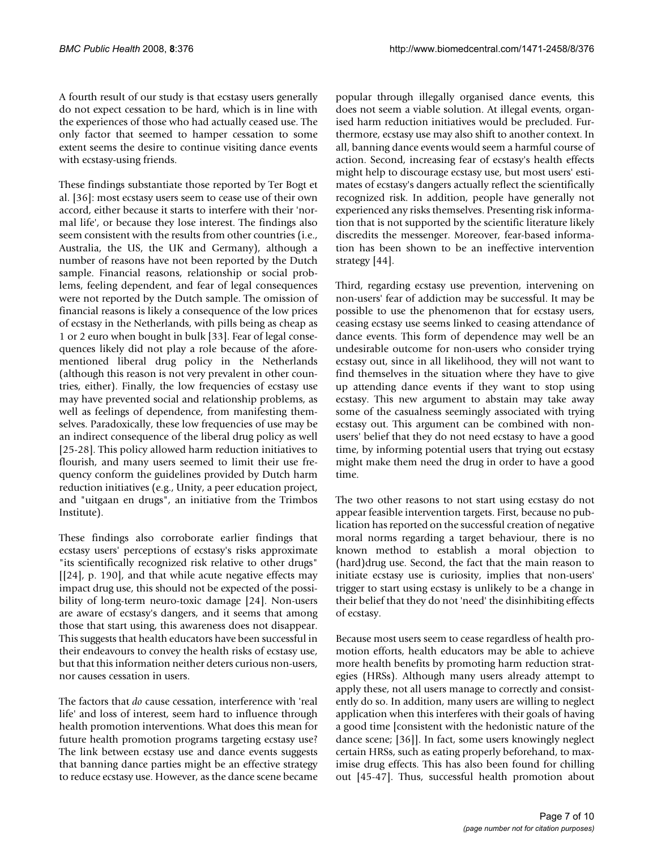A fourth result of our study is that ecstasy users generally do not expect cessation to be hard, which is in line with the experiences of those who had actually ceased use. The only factor that seemed to hamper cessation to some extent seems the desire to continue visiting dance events with ecstasy-using friends.

These findings substantiate those reported by Ter Bogt et al. [36]: most ecstasy users seem to cease use of their own accord, either because it starts to interfere with their 'normal life', or because they lose interest. The findings also seem consistent with the results from other countries (i.e., Australia, the US, the UK and Germany), although a number of reasons have not been reported by the Dutch sample. Financial reasons, relationship or social problems, feeling dependent, and fear of legal consequences were not reported by the Dutch sample. The omission of financial reasons is likely a consequence of the low prices of ecstasy in the Netherlands, with pills being as cheap as 1 or 2 euro when bought in bulk [33]. Fear of legal consequences likely did not play a role because of the aforementioned liberal drug policy in the Netherlands (although this reason is not very prevalent in other countries, either). Finally, the low frequencies of ecstasy use may have prevented social and relationship problems, as well as feelings of dependence, from manifesting themselves. Paradoxically, these low frequencies of use may be an indirect consequence of the liberal drug policy as well [25-28]. This policy allowed harm reduction initiatives to flourish, and many users seemed to limit their use frequency conform the guidelines provided by Dutch harm reduction initiatives (e.g., Unity, a peer education project, and "uitgaan en drugs", an initiative from the Trimbos Institute).

These findings also corroborate earlier findings that ecstasy users' perceptions of ecstasy's risks approximate "its scientifically recognized risk relative to other drugs" [[24], p. 190], and that while acute negative effects may impact drug use, this should not be expected of the possibility of long-term neuro-toxic damage [24]. Non-users are aware of ecstasy's dangers, and it seems that among those that start using, this awareness does not disappear. This suggests that health educators have been successful in their endeavours to convey the health risks of ecstasy use, but that this information neither deters curious non-users, nor causes cessation in users.

The factors that *do* cause cessation, interference with 'real life' and loss of interest, seem hard to influence through health promotion interventions. What does this mean for future health promotion programs targeting ecstasy use? The link between ecstasy use and dance events suggests that banning dance parties might be an effective strategy to reduce ecstasy use. However, as the dance scene became

popular through illegally organised dance events, this does not seem a viable solution. At illegal events, organised harm reduction initiatives would be precluded. Furthermore, ecstasy use may also shift to another context. In all, banning dance events would seem a harmful course of action. Second, increasing fear of ecstasy's health effects might help to discourage ecstasy use, but most users' estimates of ecstasy's dangers actually reflect the scientifically recognized risk. In addition, people have generally not experienced any risks themselves. Presenting risk information that is not supported by the scientific literature likely discredits the messenger. Moreover, fear-based information has been shown to be an ineffective intervention strategy [44].

Third, regarding ecstasy use prevention, intervening on non-users' fear of addiction may be successful. It may be possible to use the phenomenon that for ecstasy users, ceasing ecstasy use seems linked to ceasing attendance of dance events. This form of dependence may well be an undesirable outcome for non-users who consider trying ecstasy out, since in all likelihood, they will not want to find themselves in the situation where they have to give up attending dance events if they want to stop using ecstasy. This new argument to abstain may take away some of the casualness seemingly associated with trying ecstasy out. This argument can be combined with nonusers' belief that they do not need ecstasy to have a good time, by informing potential users that trying out ecstasy might make them need the drug in order to have a good time.

The two other reasons to not start using ecstasy do not appear feasible intervention targets. First, because no publication has reported on the successful creation of negative moral norms regarding a target behaviour, there is no known method to establish a moral objection to (hard)drug use. Second, the fact that the main reason to initiate ecstasy use is curiosity, implies that non-users' trigger to start using ecstasy is unlikely to be a change in their belief that they do not 'need' the disinhibiting effects of ecstasy.

Because most users seem to cease regardless of health promotion efforts, health educators may be able to achieve more health benefits by promoting harm reduction strategies (HRSs). Although many users already attempt to apply these, not all users manage to correctly and consistently do so. In addition, many users are willing to neglect application when this interferes with their goals of having a good time [consistent with the hedonistic nature of the dance scene; [36]]. In fact, some users knowingly neglect certain HRSs, such as eating properly beforehand, to maximise drug effects. This has also been found for chilling out [45-47]. Thus, successful health promotion about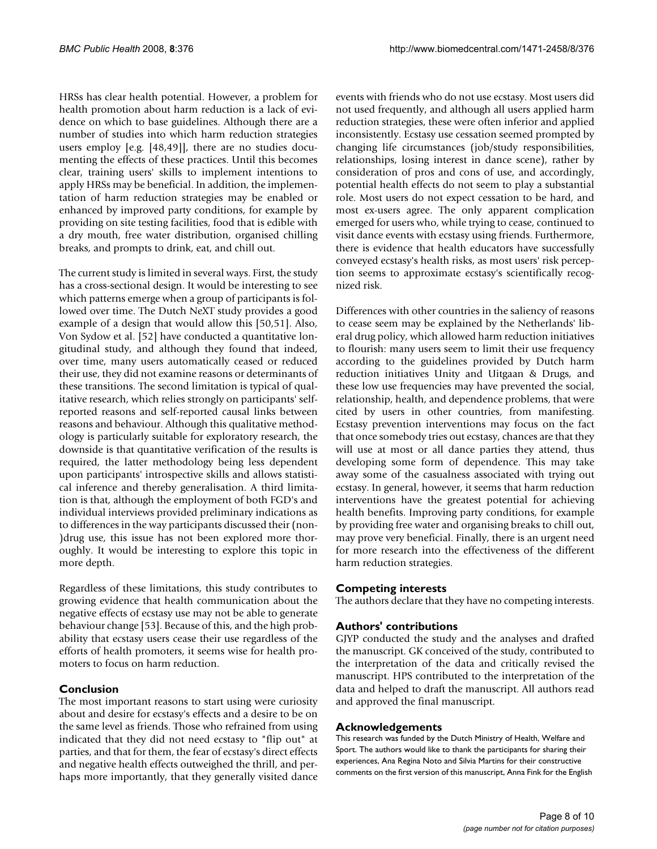HRSs has clear health potential. However, a problem for health promotion about harm reduction is a lack of evidence on which to base guidelines. Although there are a number of studies into which harm reduction strategies users employ [e.g. [48,49]], there are no studies documenting the effects of these practices. Until this becomes clear, training users' skills to implement intentions to apply HRSs may be beneficial. In addition, the implementation of harm reduction strategies may be enabled or enhanced by improved party conditions, for example by providing on site testing facilities, food that is edible with a dry mouth, free water distribution, organised chilling breaks, and prompts to drink, eat, and chill out.

The current study is limited in several ways. First, the study has a cross-sectional design. It would be interesting to see which patterns emerge when a group of participants is followed over time. The Dutch NeXT study provides a good example of a design that would allow this [50,51]. Also, Von Sydow et al. [52] have conducted a quantitative longitudinal study, and although they found that indeed, over time, many users automatically ceased or reduced their use, they did not examine reasons or determinants of these transitions. The second limitation is typical of qualitative research, which relies strongly on participants' selfreported reasons and self-reported causal links between reasons and behaviour. Although this qualitative methodology is particularly suitable for exploratory research, the downside is that quantitative verification of the results is required, the latter methodology being less dependent upon participants' introspective skills and allows statistical inference and thereby generalisation. A third limitation is that, although the employment of both FGD's and individual interviews provided preliminary indications as to differences in the way participants discussed their (non- )drug use, this issue has not been explored more thoroughly. It would be interesting to explore this topic in more depth.

Regardless of these limitations, this study contributes to growing evidence that health communication about the negative effects of ecstasy use may not be able to generate behaviour change [53]. Because of this, and the high probability that ecstasy users cease their use regardless of the efforts of health promoters, it seems wise for health promoters to focus on harm reduction.

### **Conclusion**

The most important reasons to start using were curiosity about and desire for ecstasy's effects and a desire to be on the same level as friends. Those who refrained from using indicated that they did not need ecstasy to "flip out" at parties, and that for them, the fear of ecstasy's direct effects and negative health effects outweighed the thrill, and perhaps more importantly, that they generally visited dance events with friends who do not use ecstasy. Most users did not used frequently, and although all users applied harm reduction strategies, these were often inferior and applied inconsistently. Ecstasy use cessation seemed prompted by changing life circumstances (job/study responsibilities, relationships, losing interest in dance scene), rather by consideration of pros and cons of use, and accordingly, potential health effects do not seem to play a substantial role. Most users do not expect cessation to be hard, and most ex-users agree. The only apparent complication emerged for users who, while trying to cease, continued to visit dance events with ecstasy using friends. Furthermore, there is evidence that health educators have successfully conveyed ecstasy's health risks, as most users' risk perception seems to approximate ecstasy's scientifically recognized risk.

Differences with other countries in the saliency of reasons to cease seem may be explained by the Netherlands' liberal drug policy, which allowed harm reduction initiatives to flourish: many users seem to limit their use frequency according to the guidelines provided by Dutch harm reduction initiatives Unity and Uitgaan & Drugs, and these low use frequencies may have prevented the social, relationship, health, and dependence problems, that were cited by users in other countries, from manifesting. Ecstasy prevention interventions may focus on the fact that once somebody tries out ecstasy, chances are that they will use at most or all dance parties they attend, thus developing some form of dependence. This may take away some of the casualness associated with trying out ecstasy. In general, however, it seems that harm reduction interventions have the greatest potential for achieving health benefits. Improving party conditions, for example by providing free water and organising breaks to chill out, may prove very beneficial. Finally, there is an urgent need for more research into the effectiveness of the different harm reduction strategies.

### **Competing interests**

The authors declare that they have no competing interests.

# **Authors' contributions**

GJYP conducted the study and the analyses and drafted the manuscript. GK conceived of the study, contributed to the interpretation of the data and critically revised the manuscript. HPS contributed to the interpretation of the data and helped to draft the manuscript. All authors read and approved the final manuscript.

### **Acknowledgements**

This research was funded by the Dutch Ministry of Health, Welfare and Sport. The authors would like to thank the participants for sharing their experiences, Ana Regina Noto and Silvia Martins for their constructive comments on the first version of this manuscript, Anna Fink for the English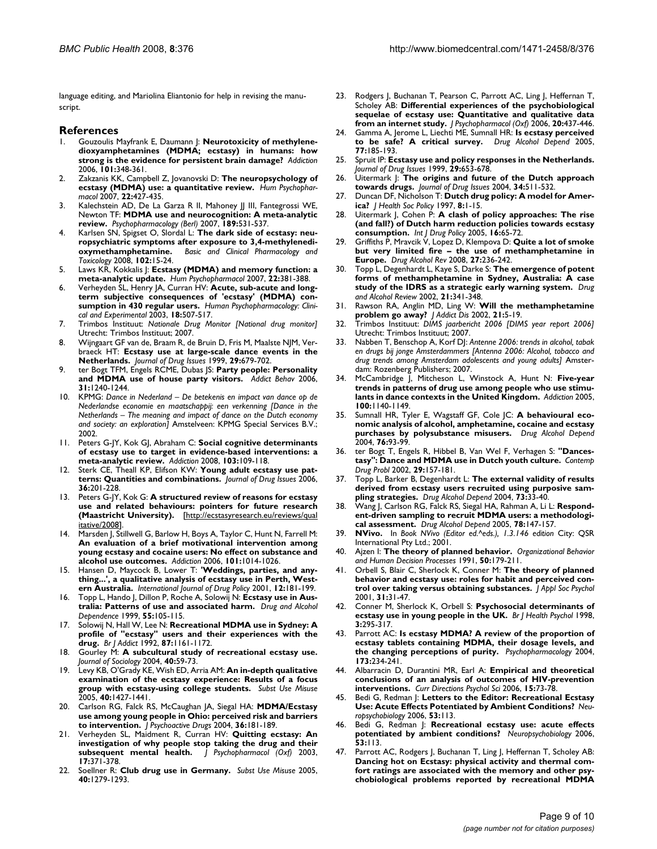language editing, and Mariolina Eliantonio for help in revising the manuscript.

#### **References**

- 1. Gouzoulis Mayfrank E, Daumann J: **[Neurotoxicity of methylene](http://www.ncbi.nlm.nih.gov/entrez/query.fcgi?cmd=Retrieve&db=PubMed&dopt=Abstract&list_uids=16499508)[dioxyamphetamines \(MDMA; ecstasy\) in humans: how](http://www.ncbi.nlm.nih.gov/entrez/query.fcgi?cmd=Retrieve&db=PubMed&dopt=Abstract&list_uids=16499508) [strong is the evidence for persistent brain damage?](http://www.ncbi.nlm.nih.gov/entrez/query.fcgi?cmd=Retrieve&db=PubMed&dopt=Abstract&list_uids=16499508)** *Addiction* 2006, **101:**348-361.
- 2. Zakzanis KK, Campbell Z, Jovanovski D: **[The neuropsychology of](http://www.ncbi.nlm.nih.gov/entrez/query.fcgi?cmd=Retrieve&db=PubMed&dopt=Abstract&list_uids=17896346) [ecstasy \(MDMA\) use: a quantitative review.](http://www.ncbi.nlm.nih.gov/entrez/query.fcgi?cmd=Retrieve&db=PubMed&dopt=Abstract&list_uids=17896346)** *Hum Psychopharmacol* 2007, **22:**427-435.
- 3. Kalechstein AD, De La Garza R II, Mahoney JJ III, Fantegrossi WE, Newton TF: **[MDMA use and neurocognition: A meta-analytic](http://www.ncbi.nlm.nih.gov/entrez/query.fcgi?cmd=Retrieve&db=PubMed&dopt=Abstract&list_uids=17082969) [review.](http://www.ncbi.nlm.nih.gov/entrez/query.fcgi?cmd=Retrieve&db=PubMed&dopt=Abstract&list_uids=17082969)** *Psychopharmacology (Berl)* 2007, **189:**531-537.
- Karlsen SN, Spigset O, Slordal L: The dark side of ecstasy: neu**ropsychiatric symptoms after exposure to 3,4-methylenedioxymethamphetamine.** *Basic and Clinical Pharmacology and Toxicology* 2008, **102:**15-24.
- 5. Laws KR, Kokkalis J: **[Ecstasy \(MDMA\) and memory function: a](http://www.ncbi.nlm.nih.gov/entrez/query.fcgi?cmd=Retrieve&db=PubMed&dopt=Abstract&list_uids=17621368) [meta-analytic update.](http://www.ncbi.nlm.nih.gov/entrez/query.fcgi?cmd=Retrieve&db=PubMed&dopt=Abstract&list_uids=17621368)** *Hum Psychopharmacol* 2007, **22:**381-388.
- 6. Verheyden SL, Henry JA, Curran HV: **Acute, sub-acute and longterm subjective consequences of 'ecstasy' (MDMA) consumption in 430 regular users.** *Human Psychopharmacology: Clinical and Experimental* 2003, **18:**507-517.
- 7. Trimbos Instituut: *Nationale Drug Monitor [National drug monitor]* Utrecht: Trimbos Instituut; 2007.
- 8. Wijngaart GF van de, Braam R, de Bruin D, Fris M, Maalste NJM, Verbraeck HT: **Ecstasy use at large-scale dance events in the Netherlands.** *Journal of Drug Issues* 1999, **29:**679-702.
- 9. ter Bogt TFM, Engels RCME, Dubas JS: **[Party people: Personality](http://www.ncbi.nlm.nih.gov/entrez/query.fcgi?cmd=Retrieve&db=PubMed&dopt=Abstract&list_uids=16143453) [and MDMA use of house party visitors.](http://www.ncbi.nlm.nih.gov/entrez/query.fcgi?cmd=Retrieve&db=PubMed&dopt=Abstract&list_uids=16143453)** *Addict Behav* 2006, **31:**1240-1244.
- 10. KPMG: *Dance in Nederland De betekenis en impact van dance op de Nederlandse economie en maatschappij: een verkenning [Dance in the Netherlands – The meaning and impact of dance on the Dutch economy and society: an exploration]* Amstelveen: KPMG Special Services B.V.; 2002.
- 11. Peters G-JY, Kok GJ, Abraham C: **[Social cognitive determinants](http://www.ncbi.nlm.nih.gov/entrez/query.fcgi?cmd=Retrieve&db=PubMed&dopt=Abstract&list_uids=17999706) [of ecstasy use to target in evidence-based interventions: a](http://www.ncbi.nlm.nih.gov/entrez/query.fcgi?cmd=Retrieve&db=PubMed&dopt=Abstract&list_uids=17999706) [meta-analytic review.](http://www.ncbi.nlm.nih.gov/entrez/query.fcgi?cmd=Retrieve&db=PubMed&dopt=Abstract&list_uids=17999706)** *Addiction* 2008, **103:**109-118.
- 12. Sterk CE, Theall KP, Elifson KW: **Young adult ecstasy use patterns: Quantities and combinations.** *Journal of Drug Issues* 2006, **36:**201-228.
- 13. Peters G-JY, Kok G: **A structured review of reasons for ecstasy use and related behaviours: pointers for future research (Maastricht University).** [\[http://ecstasyresearch.eu/reviews/qual](http://ecstasyresearch.eu/reviews/qualitative/2008) [itative/2008\]](http://ecstasyresearch.eu/reviews/qualitative/2008).
- 14. Marsden J, Stillwell G, Barlow H, Boys A, Taylor C, Hunt N, Farrell M: **[An evaluation of a brief motivational intervention among](http://www.ncbi.nlm.nih.gov/entrez/query.fcgi?cmd=Retrieve&db=PubMed&dopt=Abstract&list_uids=16771893) young ecstasy and cocaine users: No effect on substance and [alcohol use outcomes.](http://www.ncbi.nlm.nih.gov/entrez/query.fcgi?cmd=Retrieve&db=PubMed&dopt=Abstract&list_uids=16771893)** *Addiction* 2006, **101:**1014-1026.
- 15. Hansen D, Maycock B, Lower T: **['Weddings, parties, and any](http://www.ncbi.nlm.nih.gov/entrez/query.fcgi?cmd=Retrieve&db=PubMed&dopt=Abstract&list_uids=11399420)[thing...', a qualitative analysis of ecstasy use in Perth, West](http://www.ncbi.nlm.nih.gov/entrez/query.fcgi?cmd=Retrieve&db=PubMed&dopt=Abstract&list_uids=11399420)[ern Australia.](http://www.ncbi.nlm.nih.gov/entrez/query.fcgi?cmd=Retrieve&db=PubMed&dopt=Abstract&list_uids=11399420)** *International Journal of Drug Policy* 2001, **12:**181-199.
- 16. Topp L, Hando J, Dillon P, Roche A, Solowij N: **Ecstasy use in Australia: Patterns of use and associated harm.** *Drug and Alcohol Dependence* 1999, **55:**105-115.
- 17. Solowij N, Hall W, Lee N: **[Recreational MDMA use in Sydney: A](http://www.ncbi.nlm.nih.gov/entrez/query.fcgi?cmd=Retrieve&db=PubMed&dopt=Abstract&list_uids=1354992) [profile of "ecstasy" users and their experiences with the](http://www.ncbi.nlm.nih.gov/entrez/query.fcgi?cmd=Retrieve&db=PubMed&dopt=Abstract&list_uids=1354992) [drug.](http://www.ncbi.nlm.nih.gov/entrez/query.fcgi?cmd=Retrieve&db=PubMed&dopt=Abstract&list_uids=1354992)** *Br J Addict* 1992, **87:**1161-1172.
- 18. Gourley M: **A subcultural study of recreational ecstasy use.** *Journal of Sociology* 2004, **40:**59-73.
- 19. Levy KB, O'Grady KE, Wish ED, Arria AM: **[An in-depth qualitative](http://www.ncbi.nlm.nih.gov/entrez/query.fcgi?cmd=Retrieve&db=PubMed&dopt=Abstract&list_uids=16048826) [examination of the ecstasy experience: Results of a focus](http://www.ncbi.nlm.nih.gov/entrez/query.fcgi?cmd=Retrieve&db=PubMed&dopt=Abstract&list_uids=16048826) [group with ecstasy-using college students.](http://www.ncbi.nlm.nih.gov/entrez/query.fcgi?cmd=Retrieve&db=PubMed&dopt=Abstract&list_uids=16048826)** *Subst Use Misuse* 2005, **40:**1427-1441.
- 20. Carlson RG, Falck RS, McCaughan JA, Siegal HA: **[MDMA/Ecstasy](http://www.ncbi.nlm.nih.gov/entrez/query.fcgi?cmd=Retrieve&db=PubMed&dopt=Abstract&list_uids=15369199) [use among young people in Ohio: perceived risk and barriers](http://www.ncbi.nlm.nih.gov/entrez/query.fcgi?cmd=Retrieve&db=PubMed&dopt=Abstract&list_uids=15369199) [to intervention.](http://www.ncbi.nlm.nih.gov/entrez/query.fcgi?cmd=Retrieve&db=PubMed&dopt=Abstract&list_uids=15369199)** *J Psychoactive Drugs* 2004, **36:**181-189.
- 21. Verheyden SL, Maidment R, Curran HV: **Quitting ecstasy: An investigation of why people stop taking the drug and their subsequent mental health.** *J Psychopharmacol (Oxf)* 2003, **17:**371-378.
- 22. Soellner R: **[Club drug use in Germany.](http://www.ncbi.nlm.nih.gov/entrez/query.fcgi?cmd=Retrieve&db=PubMed&dopt=Abstract&list_uids=16048817)** *Subst Use Misuse* 2005, **40:**1279-1293.
- 23. Rodgers J, Buchanan T, Pearson C, Parrott AC, Ling J, Heffernan T, Scholey AB: **Differential experiences of the psychobiological sequelae of ecstasy use: Quantitative and qualitative data from an internet study.** *J Psychopharmacol (Oxf)* 2006, **20:**437-446.
- 24. Gamma A, Jerome L, Liechti ME, Sumnall HR: **[Is ecstasy perceived](http://www.ncbi.nlm.nih.gov/entrez/query.fcgi?cmd=Retrieve&db=PubMed&dopt=Abstract&list_uids=15664720) [to be safe? A critical survey.](http://www.ncbi.nlm.nih.gov/entrez/query.fcgi?cmd=Retrieve&db=PubMed&dopt=Abstract&list_uids=15664720)** *Drug Alcohol Depend* 2005, **77:**185-193.
- 25. Spruit IP: **Ecstasy use and policy responses in the Netherlands.** *Journal of Drug Issues* 1999, **29:**653-678.
- 26. Uitermark J: **The origins and future of the Dutch approach towards drugs.** *Journal of Drug Issues* 2004, **34:**511-532.
- 27. Duncan DF, Nicholson T: **[Dutch drug policy: A model for Amer](http://www.ncbi.nlm.nih.gov/entrez/query.fcgi?cmd=Retrieve&db=PubMed&dopt=Abstract&list_uids=10172982)[ica?](http://www.ncbi.nlm.nih.gov/entrez/query.fcgi?cmd=Retrieve&db=PubMed&dopt=Abstract&list_uids=10172982)** *J Health Soc Policy* 1997, **8:**1-15.
- 28. Uitermark J, Cohen P: **A clash of policy approaches: The rise (and fall?) of Dutch harm reduction policies towards ecstasy consumption.** *Int J Drug Policy* 2005, **16:**65-72.
- 29. Griffiths P, Mravcik V, Lopez D, Klempova D: **[Quite a lot of smoke](http://www.ncbi.nlm.nih.gov/entrez/query.fcgi?cmd=Retrieve&db=PubMed&dopt=Abstract&list_uids=18368604) [but very limited fire – the use of methamphetamine in](http://www.ncbi.nlm.nih.gov/entrez/query.fcgi?cmd=Retrieve&db=PubMed&dopt=Abstract&list_uids=18368604) [Europe.](http://www.ncbi.nlm.nih.gov/entrez/query.fcgi?cmd=Retrieve&db=PubMed&dopt=Abstract&list_uids=18368604)** *Drug Alcohol Rev* 2008, **27:**236-242.
- 30. Topp L, Degenhardt L, Kaye S, Darke S: **The emergence of potent forms of methamphetamine in Sydney, Australia: A case study of the IDRS as a strategic early warning system.** *Drug and Alcohol Review* 2002, **21:**341-348.
- 31. Rawson RA, Anglin MD, Ling W: **[Will the methamphetamine](http://www.ncbi.nlm.nih.gov/entrez/query.fcgi?cmd=Retrieve&db=PubMed&dopt=Abstract&list_uids=11831500) [problem go away?](http://www.ncbi.nlm.nih.gov/entrez/query.fcgi?cmd=Retrieve&db=PubMed&dopt=Abstract&list_uids=11831500)** *J Addict Dis* 2002, **21:**5-19.
- 32. Trimbos Instituut: *DIMS jaarbericht 2006 [DIMS year report 2006]* Utrecht: Trimbos Instituut; 2007.
- 33. Nabben T, Benschop A, Korf DJ: *Antenne 2006: trends in alcohol, tabak en drugs bij jonge Amsterdammers [Antenna 2006: Alcohol, tobacco and drug trends among Amsterdam adolescents and young adults]* Amsterdam: Rozenberg Publishers; 2007.
- 34. McCambridge J, Mitcheson L, Winstock A, Hunt N: **[Five-year](http://www.ncbi.nlm.nih.gov/entrez/query.fcgi?cmd=Retrieve&db=PubMed&dopt=Abstract&list_uids=16042644) [trends in patterns of drug use among people who use stimu](http://www.ncbi.nlm.nih.gov/entrez/query.fcgi?cmd=Retrieve&db=PubMed&dopt=Abstract&list_uids=16042644)[lants in dance contexts in the United Kingdom.](http://www.ncbi.nlm.nih.gov/entrez/query.fcgi?cmd=Retrieve&db=PubMed&dopt=Abstract&list_uids=16042644)** *Addiction* 2005, **100:**1140-1149.
- 35. Sumnall HR, Tyler E, Wagstaff GF, Cole JC: **[A behavioural eco](http://www.ncbi.nlm.nih.gov/entrez/query.fcgi?cmd=Retrieve&db=PubMed&dopt=Abstract&list_uids=15380293)[nomic analysis of alcohol, amphetamine, cocaine and ecstasy](http://www.ncbi.nlm.nih.gov/entrez/query.fcgi?cmd=Retrieve&db=PubMed&dopt=Abstract&list_uids=15380293) [purchases by polysubstance misusers.](http://www.ncbi.nlm.nih.gov/entrez/query.fcgi?cmd=Retrieve&db=PubMed&dopt=Abstract&list_uids=15380293)** *Drug Alcohol Depend* 2004, **76:**93-99.
- 36. ter Bogt T, Engels R, Hibbel B, Van Wel F, Verhagen S: **"Dancestasy": Dance and MDMA use in Dutch youth culture.** *Contemp Drug Probl* 2002, **29:**157-181.
- 37. Topp L, Barker B, Degenhardt L: **[The external validity of results](http://www.ncbi.nlm.nih.gov/entrez/query.fcgi?cmd=Retrieve&db=PubMed&dopt=Abstract&list_uids=14687957) [derived from ecstasy users recruited using purposive sam](http://www.ncbi.nlm.nih.gov/entrez/query.fcgi?cmd=Retrieve&db=PubMed&dopt=Abstract&list_uids=14687957)[pling strategies.](http://www.ncbi.nlm.nih.gov/entrez/query.fcgi?cmd=Retrieve&db=PubMed&dopt=Abstract&list_uids=14687957)** *Drug Alcohol Depend* 2004, **73:**33-40.
- 38. Wang J, Carlson RG, Falck RS, Siegal HA, Rahman A, Li L: **[Respond](http://www.ncbi.nlm.nih.gov/entrez/query.fcgi?cmd=Retrieve&db=PubMed&dopt=Abstract&list_uids=15845318)[ent-driven sampling to recruit MDMA users: a methodologi](http://www.ncbi.nlm.nih.gov/entrez/query.fcgi?cmd=Retrieve&db=PubMed&dopt=Abstract&list_uids=15845318)[cal assessment.](http://www.ncbi.nlm.nih.gov/entrez/query.fcgi?cmd=Retrieve&db=PubMed&dopt=Abstract&list_uids=15845318)** *Drug Alcohol Depend* 2005, **78:**147-157.
- 39. **NVivo.** In *Book NVivo (Editor ed.^eds.), 1.3.146 edition* City: QSR International Pty Ltd.; 2001.
- 40. Ajzen I: **The theory of planned behavior.** *Organizational Behavior and Human Decision Processes* 1991, **50:**179-211.
- 41. Orbell S, Blair C, Sherlock K, Conner M: **The theory of planned behavior and ecstasy use: roles for habit and perceived control over taking versus obtaining substances.** *J Appl Soc Psychol* 2001, **31:**31-47.
- 42. Conner M, Sherlock K, Orbell S: **Psychosocial determinants of ecstasy use in young people in the UK.** *Br J Health Psychol* 1998, **3:**295-317.
- 43. Parrott AC: **[Is ecstasy MDMA? A review of the proportion of](http://www.ncbi.nlm.nih.gov/entrez/query.fcgi?cmd=Retrieve&db=PubMed&dopt=Abstract&list_uids=15007594) [ecstasy tablets containing MDMA, their dosage levels, and](http://www.ncbi.nlm.nih.gov/entrez/query.fcgi?cmd=Retrieve&db=PubMed&dopt=Abstract&list_uids=15007594) [the changing perceptions of purity.](http://www.ncbi.nlm.nih.gov/entrez/query.fcgi?cmd=Retrieve&db=PubMed&dopt=Abstract&list_uids=15007594)** *Psychopharmacology* 2004, **173:**234-241.
- 44. Albarracin D, Durantini MR, Earl A: **Empirical and theoretical conclusions of an analysis of outcomes of HIV-prevention interventions.** *Curr Directions Psychol Sci* 2006, **15:**73-78.
- 45. Bedi G, Redman J: **[Letters to the Editor: Recreational Ecstasy](http://www.ncbi.nlm.nih.gov/entrez/query.fcgi?cmd=Retrieve&db=PubMed&dopt=Abstract&list_uids=16557042) [Use: Acute Effects Potentiated by Ambient Conditions?](http://www.ncbi.nlm.nih.gov/entrez/query.fcgi?cmd=Retrieve&db=PubMed&dopt=Abstract&list_uids=16557042)** *Neuropsychobiology* 2006, **53:**113.
- 46. Bedi G, Redman J: **[Recreational ecstasy use: acute effects](http://www.ncbi.nlm.nih.gov/entrez/query.fcgi?cmd=Retrieve&db=PubMed&dopt=Abstract&list_uids=16557042) [potentiated by ambient conditions?](http://www.ncbi.nlm.nih.gov/entrez/query.fcgi?cmd=Retrieve&db=PubMed&dopt=Abstract&list_uids=16557042)** *Neuropsychobiology* 2006, **53:**113.
- 47. Parrott AC, Rodgers J, Buchanan T, Ling J, Heffernan T, Scholey AB: **Dancing hot on Ecstasy: physical activity and thermal comfort ratings are associated with the memory and other psychobiological problems reported by recreational MDMA**